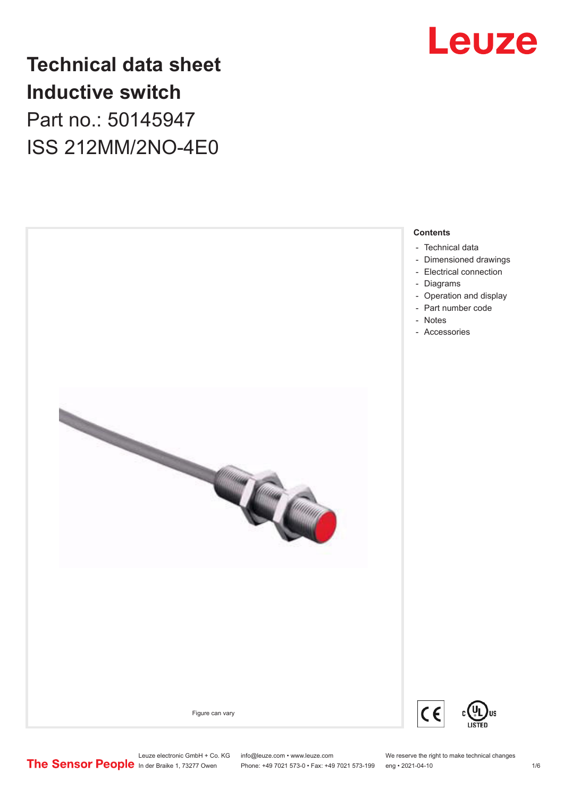

## **Technical data sheet Inductive switch** Part no.: 50145947 ISS 212MM/2NO-4E0

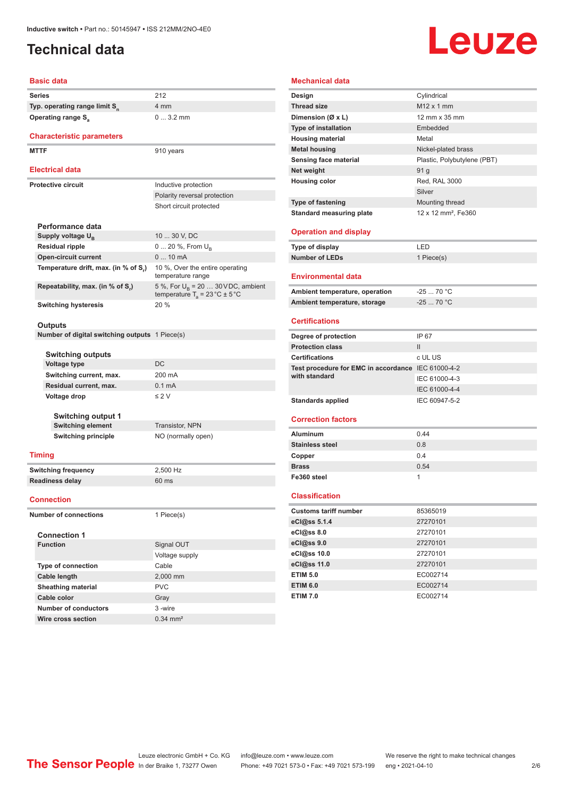## <span id="page-1-0"></span>**Technical data**

# **Leuze**

### **Basic data**

|                              | <b>Series</b>                                         | 212                                                                                       |  |
|------------------------------|-------------------------------------------------------|-------------------------------------------------------------------------------------------|--|
|                              | Typ. operating range limit S <sub>n</sub>             | 4 mm                                                                                      |  |
|                              | <b>Operating range S</b> <sub>a</sub>                 | $03.2$ mm                                                                                 |  |
|                              |                                                       |                                                                                           |  |
|                              | <b>Characteristic parameters</b>                      |                                                                                           |  |
|                              | <b>MTTF</b>                                           | 910 years                                                                                 |  |
|                              |                                                       |                                                                                           |  |
|                              | <b>Electrical data</b>                                |                                                                                           |  |
|                              | <b>Protective circuit</b>                             | Inductive protection                                                                      |  |
|                              |                                                       | Polarity reversal protection                                                              |  |
|                              |                                                       | Short circuit protected                                                                   |  |
|                              |                                                       |                                                                                           |  |
|                              | Performance data                                      |                                                                                           |  |
|                              | Supply voltage U <sub>B</sub>                         | 10  30 V, DC                                                                              |  |
|                              | <b>Residual ripple</b>                                | 0  20 %, From U <sub>B</sub>                                                              |  |
|                              | <b>Open-circuit current</b>                           | 0  10 mA                                                                                  |  |
|                              | Temperature drift, max. (in % of S <sub>r</sub> )     | 10 %, Over the entire operating<br>temperature range                                      |  |
|                              | Repeatability, max. (in % of S,)                      | 5 %, For $U_R$ = 20  30 V DC, ambient<br>temperature $T_a = 23 \degree C \pm 5 \degree C$ |  |
|                              | <b>Switching hysteresis</b>                           | $20\%$                                                                                    |  |
|                              |                                                       |                                                                                           |  |
|                              | Outputs                                               |                                                                                           |  |
|                              | <b>Number of digital switching outputs</b> 1 Piece(s) |                                                                                           |  |
|                              |                                                       |                                                                                           |  |
|                              | Switching outputs                                     |                                                                                           |  |
|                              | Voltage type                                          | DC                                                                                        |  |
|                              | Switching current, max.                               | 200 mA                                                                                    |  |
|                              | Residual current, max.                                | 0.1 <sub>m</sub> A                                                                        |  |
|                              | Voltage drop                                          | $\leq 2$ V                                                                                |  |
|                              |                                                       |                                                                                           |  |
|                              | Switching output 1<br><b>Switching element</b>        | Transistor, NPN                                                                           |  |
|                              | <b>Switching principle</b>                            | NO (normally open)                                                                        |  |
|                              |                                                       |                                                                                           |  |
|                              | <b>Timing</b>                                         |                                                                                           |  |
| <b>Switching frequency</b>   |                                                       | 2,500 Hz                                                                                  |  |
| <b>Readiness delay</b>       |                                                       | 60 ms                                                                                     |  |
|                              | <b>Connection</b>                                     |                                                                                           |  |
|                              |                                                       |                                                                                           |  |
| <b>Number of connections</b> |                                                       | 1 Piece(s)                                                                                |  |
|                              |                                                       |                                                                                           |  |
|                              | <b>Connection 1</b><br><b>Function</b>                |                                                                                           |  |
|                              |                                                       | Signal OUT                                                                                |  |
|                              |                                                       | Voltage supply                                                                            |  |
|                              | <b>Type of connection</b>                             | Cable                                                                                     |  |
|                              | Cable length                                          | 2,000 mm                                                                                  |  |
|                              | Sheathing material                                    | <b>PVC</b>                                                                                |  |
|                              | Cable color                                           | Gray                                                                                      |  |
|                              | <b>Number of conductors</b>                           | 3 -wire                                                                                   |  |

| Mechanical data                                    |                                 |
|----------------------------------------------------|---------------------------------|
| Design                                             | Cylindrical                     |
| <b>Thread size</b>                                 | M12 x 1 mm                      |
| Dimension (Ø x L)                                  | 12 mm x 35 mm                   |
| <b>Type of installation</b>                        | Embedded                        |
| <b>Housing material</b>                            | Metal                           |
| <b>Metal housing</b>                               | Nickel-plated brass             |
| Sensing face material                              | Plastic, Polybutylene (PBT)     |
| Net weight                                         | 91 g                            |
| <b>Housing color</b>                               | Red, RAL 3000                   |
|                                                    | Silver                          |
| <b>Type of fastening</b>                           | Mounting thread                 |
| <b>Standard measuring plate</b>                    | 12 x 12 mm <sup>2</sup> , Fe360 |
|                                                    |                                 |
| <b>Operation and display</b>                       |                                 |
| Type of display                                    | LED                             |
| <b>Number of LEDs</b>                              | 1 Piece(s)                      |
| <b>Environmental data</b>                          |                                 |
| Ambient temperature, operation                     | $-25$ 70 °C                     |
| Ambient temperature, storage                       | $-2570 °C$                      |
|                                                    |                                 |
| Certifications                                     |                                 |
| Degree of protection                               | IP 67                           |
| <b>Protection class</b>                            | Ш                               |
| <b>Certifications</b>                              | c UL US                         |
| Test procedure for EMC in accordance IEC 61000-4-2 |                                 |
| with standard                                      | IEC 61000-4-3                   |
|                                                    | IEC 61000-4-4                   |
| <b>Standards applied</b>                           | IEC 60947-5-2                   |
| <b>Correction factors</b>                          |                                 |
|                                                    |                                 |
| <b>Aluminum</b>                                    | 0.44                            |
| <b>Stainless steel</b>                             | 0.8                             |
| Copper                                             | 0.4                             |
| <b>Brass</b>                                       | 0.54                            |
| Fe360 steel                                        | 1                               |
| <b>Classification</b>                              |                                 |
| <b>Customs tariff number</b>                       | 85365019                        |
| eCl@ss 5.1.4                                       | 27270101                        |
| eCl@ss 8.0                                         | 27270101                        |
| eCl@ss 9.0                                         | 27270101                        |
| eCl@ss 10.0                                        | 27270101                        |
| eCl@ss 11.0                                        | 27270101                        |
| <b>ETIM 5.0</b>                                    | EC002714                        |
| <b>ETIM 6.0</b>                                    | EC002714                        |
| <b>ETIM 7.0</b>                                    | EC002714                        |

**Wire cross section** 0.34 mm<sup>2</sup>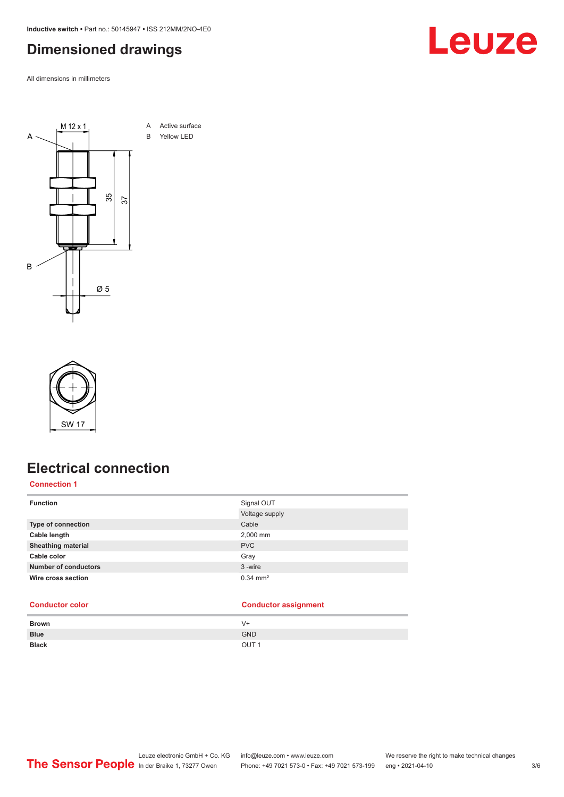<span id="page-2-0"></span>**Inductive switch •** Part no.: 50145947 **•** ISS 212MM/2NO-4E0

### **Dimensioned drawings**

All dimensions in millimeters





### **Electrical connection**

**Connection 1**

| <b>Function</b>             | Signal OUT            |
|-----------------------------|-----------------------|
|                             | Voltage supply        |
| <b>Type of connection</b>   | Cable                 |
| Cable length                | 2,000 mm              |
| <b>Sheathing material</b>   | <b>PVC</b>            |
| Cable color                 | Gray                  |
| <b>Number of conductors</b> | 3-wire                |
| Wire cross section          | $0.34 \, \text{mm}^2$ |
|                             |                       |

### **Conductor color Conductor assignment**

| Brown        | V+               |
|--------------|------------------|
| <b>Blue</b>  | <b>GND</b>       |
| <b>Black</b> | OUT <sub>1</sub> |
|              |                  |

### Leuze electronic GmbH + Co. KG info@leuze.com • www.leuze.com We reserve the right to make technical changes ln der Braike 1, 73277 Owen Phone: +49 7021 573-0 • Fax: +49 7021 573-199 eng • 2021-04-10 3/6

# Leuze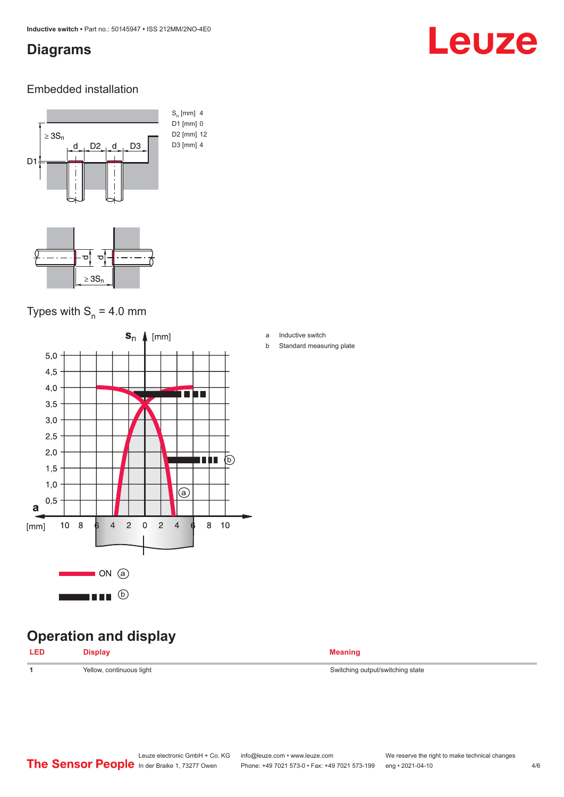### <span id="page-3-0"></span>**Diagrams**

# Leuze

### Embedded installation



### Types with  $S_n = 4.0$  mm



## **Operation and display**

| <b>LED</b> | ≧¦snlav        | <b>Meaning</b>              |
|------------|----------------|-----------------------------|
| ___        | P <sub>1</sub> | $\sim$ $\sim$ $\sim$ $\sim$ |
|            |                |                             |

- a Inductive switch
- b Standard measuring plate

**1** Yellow, continuous light Switching output/switching state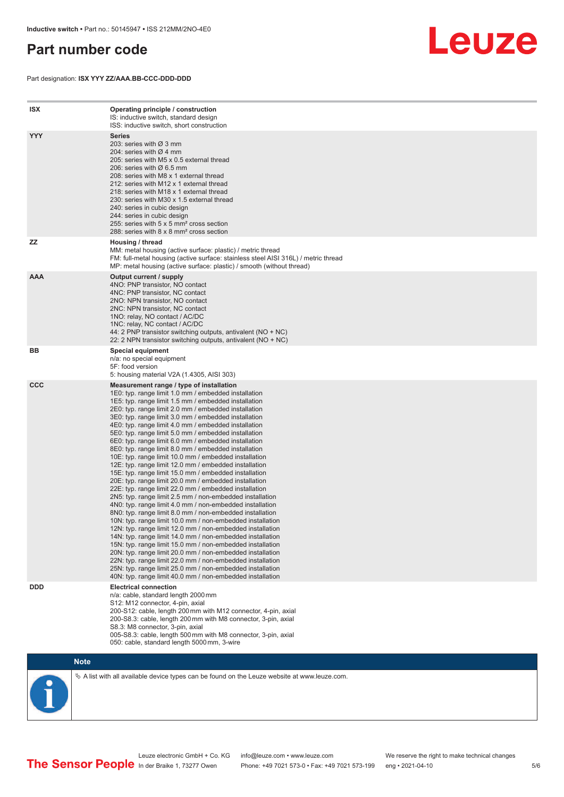### <span id="page-4-0"></span>**Part number code**

Part designation: **ISX YYY ZZ/AAA.BB-CCC-DDD-DDD**



| <b>ISX</b> | Operating principle / construction<br>IS: inductive switch, standard design<br>ISS: inductive switch, short construction                                                                                                                                                                                                                                                                                                                                                                                                                                                                                                                                                                                                                                                                                                                                                                                                                                                                                                                                                                                                                                                                                                                                                                                                                                                                                                                                                                          |
|------------|---------------------------------------------------------------------------------------------------------------------------------------------------------------------------------------------------------------------------------------------------------------------------------------------------------------------------------------------------------------------------------------------------------------------------------------------------------------------------------------------------------------------------------------------------------------------------------------------------------------------------------------------------------------------------------------------------------------------------------------------------------------------------------------------------------------------------------------------------------------------------------------------------------------------------------------------------------------------------------------------------------------------------------------------------------------------------------------------------------------------------------------------------------------------------------------------------------------------------------------------------------------------------------------------------------------------------------------------------------------------------------------------------------------------------------------------------------------------------------------------------|
| <b>YYY</b> | Series<br>203: series with Ø 3 mm<br>204: series with $\varnothing$ 4 mm<br>205: series with M5 x 0.5 external thread<br>206: series with $\varnothing$ 6.5 mm<br>208: series with M8 x 1 external thread<br>212: series with M12 x 1 external thread<br>218: series with M18 x 1 external thread<br>230: series with M30 x 1.5 external thread<br>240: series in cubic design<br>244: series in cubic design<br>255: series with 5 x 5 mm <sup>2</sup> cross section<br>288: series with 8 x 8 mm <sup>2</sup> cross section                                                                                                                                                                                                                                                                                                                                                                                                                                                                                                                                                                                                                                                                                                                                                                                                                                                                                                                                                                     |
| ZZ         | Housing / thread<br>MM: metal housing (active surface: plastic) / metric thread<br>FM: full-metal housing (active surface: stainless steel AISI 316L) / metric thread<br>MP: metal housing (active surface: plastic) / smooth (without thread)                                                                                                                                                                                                                                                                                                                                                                                                                                                                                                                                                                                                                                                                                                                                                                                                                                                                                                                                                                                                                                                                                                                                                                                                                                                    |
| <b>AAA</b> | Output current / supply<br>4NO: PNP transistor, NO contact<br>4NC: PNP transistor, NC contact<br>2NO: NPN transistor, NO contact<br>2NC: NPN transistor, NC contact<br>1NO: relay, NO contact / AC/DC<br>1NC: relay, NC contact / AC/DC<br>44: 2 PNP transistor switching outputs, antivalent ( $NO + NC$ )<br>22: 2 NPN transistor switching outputs, antivalent (NO + NC)                                                                                                                                                                                                                                                                                                                                                                                                                                                                                                                                                                                                                                                                                                                                                                                                                                                                                                                                                                                                                                                                                                                       |
| BB         | <b>Special equipment</b><br>n/a: no special equipment<br>5F: food version<br>5: housing material V2A (1.4305, AISI 303)                                                                                                                                                                                                                                                                                                                                                                                                                                                                                                                                                                                                                                                                                                                                                                                                                                                                                                                                                                                                                                                                                                                                                                                                                                                                                                                                                                           |
| <b>CCC</b> | Measurement range / type of installation<br>1E0: typ. range limit 1.0 mm / embedded installation<br>1E5: typ. range limit 1.5 mm / embedded installation<br>2E0: typ. range limit 2.0 mm / embedded installation<br>3E0: typ. range limit 3.0 mm / embedded installation<br>4E0: typ. range limit 4.0 mm / embedded installation<br>5E0: typ. range limit 5.0 mm / embedded installation<br>6E0: typ. range limit 6.0 mm / embedded installation<br>8E0: typ. range limit 8.0 mm / embedded installation<br>10E: typ. range limit 10.0 mm / embedded installation<br>12E: typ. range limit 12.0 mm / embedded installation<br>15E: typ. range limit 15.0 mm / embedded installation<br>20E: typ. range limit 20.0 mm / embedded installation<br>22E: typ. range limit 22.0 mm / embedded installation<br>2N5: typ. range limit 2.5 mm / non-embedded installation<br>4N0: typ. range limit 4.0 mm / non-embedded installation<br>8N0: typ. range limit 8.0 mm / non-embedded installation<br>10N: typ. range limit 10.0 mm / non-embedded installation<br>12N: typ. range limit 12.0 mm / non-embedded installation<br>14N: typ. range limit 14.0 mm / non-embedded installation<br>15N: typ. range limit 15.0 mm / non-embedded installation<br>20N: typ. range limit 20.0 mm / non-embedded installation<br>22N: typ. range limit 22.0 mm / non-embedded installation<br>25N: typ. range limit 25.0 mm / non-embedded installation<br>40N: typ. range limit 40.0 mm / non-embedded installation |
| <b>DDD</b> | <b>Electrical connection</b><br>n/a: cable, standard length 2000 mm<br>S12: M12 connector, 4-pin, axial<br>200-S12: cable, length 200 mm with M12 connector, 4-pin, axial<br>200-S8.3: cable, length 200 mm with M8 connector, 3-pin, axial<br>S8.3: M8 connector, 3-pin, axial<br>005-S8.3: cable, length 500 mm with M8 connector, 3-pin, axial<br>050: cable, standard length 5000 mm, 3-wire                                                                                                                                                                                                                                                                                                                                                                                                                                                                                                                                                                                                                                                                                                                                                                                                                                                                                                                                                                                                                                                                                                  |

**Note**

 $\%$  A list with all available device types can be found on the Leuze website at www.leuze.com.

Leuze electronic GmbH + Co. KG info@leuze.com • www.leuze.com We reserve the right to make technical changes In der Braike 1, 73277 Owen Phone: +49 7021 573-0 • Fax: +49 7021 573-199 eng • 2021-04-10